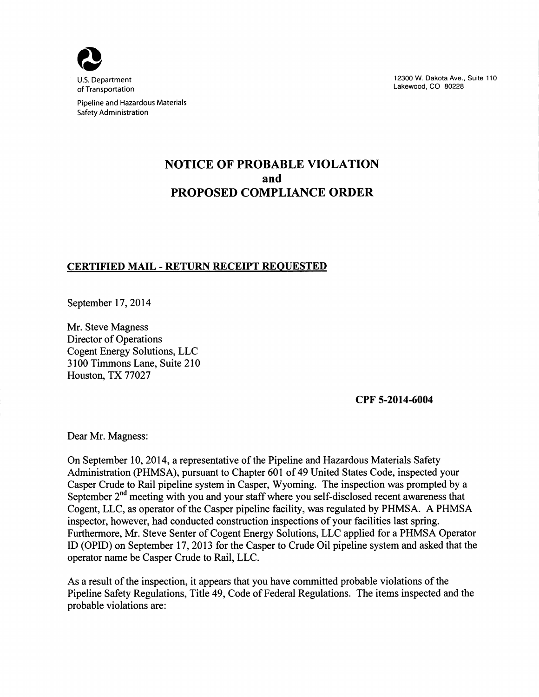

Pipeline and Hazardous Materials Safety Administration

# NOTICE OF PROBABLE VIOLATION and PROPOSED COMPLIANCE ORDER

## CERTIFIED MAIL - RETURN RECEIPT REQUESTED

September 17, 2014

Mr. Steve Magness Director of Operations Cogent Energy Solutions, LLC 3100 Timmons Lane, Suite 210 Houston, TX 77027

12300 W. Dakota Ave., Suite 110 Lakewood, CO 80228



Dear Mr. Magness:

On September 10, 2014, a representative of the Pipeline and Hazardous Materials Safety Administration (PHMSA), pursuant to Chapter 601 of 49 United States Code, inspected your Casper Crude to Rail pipeline system in Casper, Wyoming. The inspection was prompted by a September  $2<sup>nd</sup>$  meeting with you and your staff where you self-disclosed recent awareness that Cogent, LLC, as operator of the Casper pipeline facility, was regulated by PHMSA. A PHMSA inspector, however, had conducted construction inspections of your facilities last spring. Furthermore, Mr. Steve Senter of Cogent Energy Solutions, LLC applied for a PHMSA Operator ID (OPID) on September 17, 2013 for the Casper to Crude Oil pipeline system and asked that the operator name be Casper Crude to Rail, LLC.

As a result of the inspection, it appears that you have committed probable violations of the Pipeline Safety Regulations, Title 49, Code of Federal Regulations. The items inspected and the probable violations are: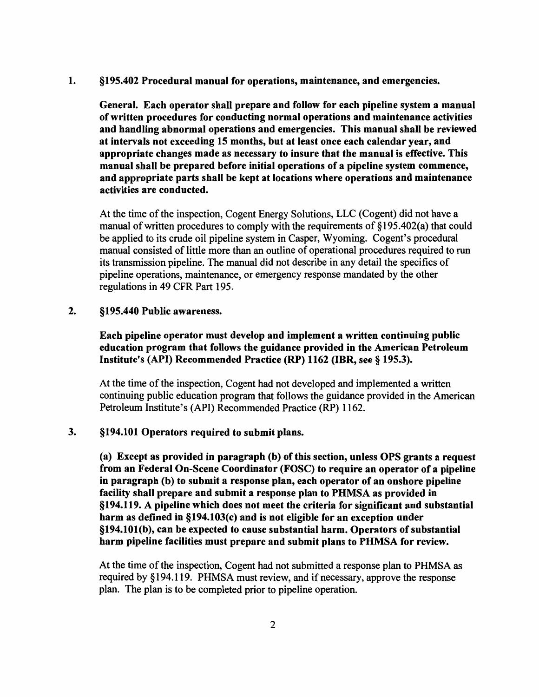1. §195.402 Procedural manual for operations, maintenance, and emergencies.

General. Each operator shall prepare and follow for each pipeline system a manual of written procedures for conducting normal operations and maintenance activities and handling abnormal operations and emergencies. This manual shall be reviewed at intervals not exceeding 15 months, but at least once each calendar year, and appropriate changes made as necessary to insure that the manual is effective. This manual shall be prepared before initial operations of a pipeline system commence, and appropriate parts shall be kept at locations where operations and maintenance activities are conducted.

At the time of the inspection, Cogent Energy Solutions, LLC (Cogent) did not have a manual of written procedures to comply with the requirements of§ 195.402(a) that could be applied to its crude oil pipeline system in Casper, Wyoming. Cogent's procedural manual consisted of little more than an outline of operational procedures required to run its transmission pipeline. The manual did not describe in any detail the specifics of pipeline operations, maintenance, or emergency response mandated by the other regulations in 49 CFR Part 195.

#### 2. §195.440 Public awareness.

Each pipeline operator must develop and implement a written continuing public education program that follows the guidance provided in the American Petroleum Institute's (API) Recommended Practice (RP) 1162 (IBR, see§ 195.3).

At the time of the inspection, Cogent had not developed and implemented a written continuing public education program that follows the guidance provided in the American Petroleum Institute's (API) Recommended Practice (RP) 1162.

#### 3. §194.101 Operators required to submit plans.

(a) Except as provided in paragraph (b) of this section, unless OPS grants a request from an Federal On-Scene Coordinator (FOSC) to require an operator of a pipeline in paragraph (b) to submit a response plan, each operator of an onshore pipeline facility shall prepare and submit a response plan to PHMSA as provided in §194.119. A pipeline which does not meet the criteria for significant and substantial harm as defined in §194.103(c) and is not eligible for an exception under §194.101(b), can be expected to cause substantial harm. Operators of substantial harm pipeline facilities must prepare and submit plans to PHMSA for review.

At the time of the inspection, Cogent had not submitted a response plan to PHMSA as required by § 194.119. PHMSA must review, and if necessary, approve the response plan. The plan is to be completed prior to pipeline operation.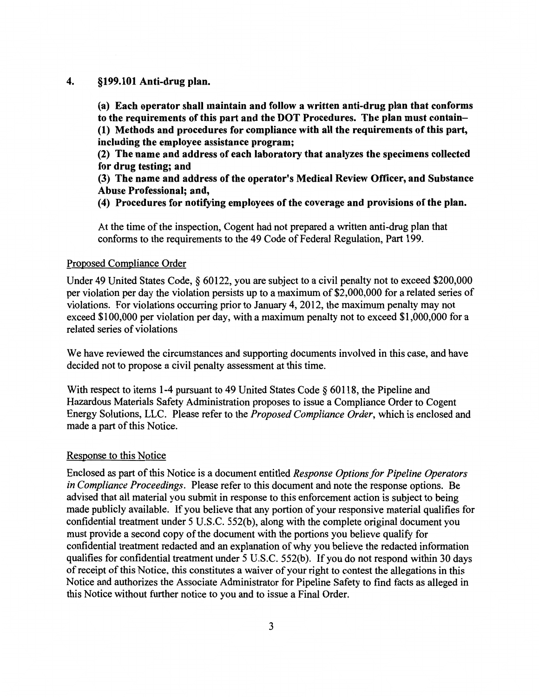## 4. §199.101 Anti-drug plan.

(a) Each operator shall maintain and follow a written anti-drug plan that conforms to the requirements of this part and the DOT Procedures. The plan must contain- (1) Methods and procedures for compliance with all the requirements of this part, including the employee assistance program;

(2) The name and address of each laboratory that analyzes the specimens collected for drug testing; and

(3) The name and address of the operator's Medical Review Officer, and Substance Abuse Professional; and,

( 4) Procedures for notifying employees of the coverage and provisions of the plan.

At the time of the inspection, Cogent had not prepared a written anti-drug plan that conforms to the requirements to the 49 Code of Federal Regulation, Part 199.

### Proposed Compliance Order

Under 49 United States Code, § 60122, you are subject to a civil penalty not to exceed \$200,000 per violation per day the violation persists up to a maximum of \$2,000,000 for a related series of violations. For violations occurring prior to January 4, 2012, the maximum penalty may not exceed \$100,000 per violation per day, with a maximum penalty not to exceed \$1,000,000 for a related series of violations

We have reviewed the circumstances and supporting documents involved in this case, and have decided not to propose a civil penalty assessment at this time.

With respect to items 1-4 pursuant to 49 United States Code § 60118, the Pipeline and

Hazardous Materials Safety Administration proposes to issue a Compliance Order to Cogent Energy Solutions, LLC. Please refer to the *Proposed Compliance Order,* which is enclosed and made a part of this Notice.

## Response to this Notice

Enclosed as part of this Notice is a document entitled *Response Options for Pipeline Operators in Compliance Proceedings.* Please refer to this document and note the response options. Be advised that all material you submit in response to this enforcement action is subject to being made publicly available. If you believe that any portion of your responsive material qualifies for confidential treatment under 5 U.S.C. 552(b), along with the complete original document you must provide a second copy of the document with the portions you believe qualify for confidential treatment redacted and an explanation of why you believe the redacted information qualifies for confidential treatment under 5 U.S.C. 552(b). If you do not respond within 30 days of receipt of this Notice, this constitutes a waiver of your right to contest the allegations in this Notice and authorizes the Associate Administrator for Pipeline Safety to find facts as alleged in this Notice without further notice to you and to issue a Final Order.

3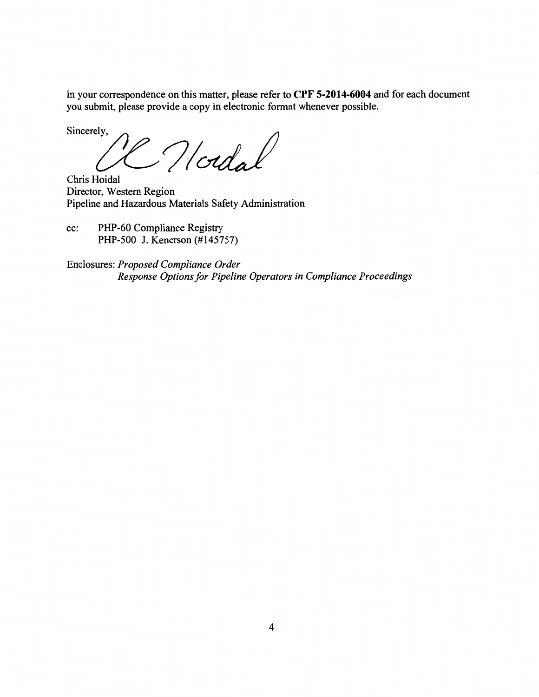In your correspondence on this matter, please refer to **CPF 5-2014-6004** and for each document you submit, please provide a copy in electronic format whenever possible.

Sincerely,  $2$  /  $\partial d a$ 

Chris Hoidal Director, Western Region Pipeline and Hazardous Materials Safety Administration

cc: PHP-60 Compliance Registry PHP-500 J. Kenerson (#145757)

Enclosures: *Proposed Compliance Order Response Options for Pipeline Operators in Compliance Proceedings*